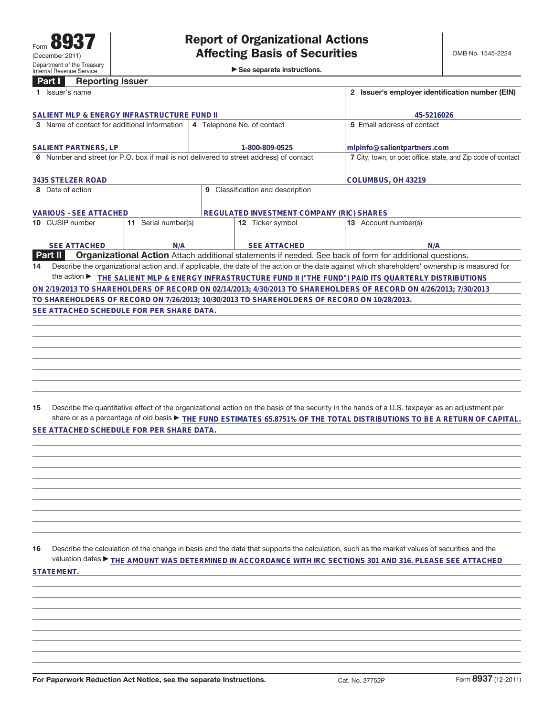## **Part I Reporting Issuer**

| 1 Issuer's name                                                                             |                                           | 2 Issuer's employer identification number (EIN)                                                                                                 |
|---------------------------------------------------------------------------------------------|-------------------------------------------|-------------------------------------------------------------------------------------------------------------------------------------------------|
| SALIENT MLP & ENERGY INFRASTRUCTURE FUND II                                                 |                                           | 45-5216026                                                                                                                                      |
| 3 Name of contact for additional information                                                | 4 Telephone No. of contact                | 5 Email address of contact                                                                                                                      |
| <b>SALIENT PARTNERS, LP</b>                                                                 | 1-800-809-0525                            | mlpinfo@salientpartners.com                                                                                                                     |
| 6 Number and street (or P.O. box if mail is not delivered to street address) of contact     |                                           | 7 City, town, or post office, state, and Zip code of contact                                                                                    |
|                                                                                             |                                           |                                                                                                                                                 |
| 3435 STELZER ROAD                                                                           |                                           | COLUMBUS, OH 43219                                                                                                                              |
| 8 Date of action                                                                            | Classification and description<br>9       |                                                                                                                                                 |
|                                                                                             |                                           |                                                                                                                                                 |
| <b>VARIOUS - SEE ATTACHED</b>                                                               | REGULATED INVESTMENT COMPANY (RIC) SHARES |                                                                                                                                                 |
| 10 CUSIP number<br>11 Serial number(s)                                                      | 12 Ticker symbol                          | 13 Account number(s)                                                                                                                            |
|                                                                                             |                                           |                                                                                                                                                 |
| <b>SEE ATTACHED</b><br>N/A                                                                  | <b>SEE ATTACHED</b>                       | N/A                                                                                                                                             |
| Part II                                                                                     |                                           | Organizational Action Attach additional statements if needed. See back of form for additional questions.                                        |
| 14                                                                                          |                                           | Describe the organizational action and, if applicable, the date of the action or the date against which shareholders' ownership is measured for |
|                                                                                             |                                           | the action ▶ THE SALIENT MLP & ENERGY INFRASTRUCTURE FUND II ("THE FUND") PAID ITS QUARTERLY DISTRIBUTIONS                                      |
|                                                                                             |                                           | ON 2/19/2013 TO SHAREHOLDERS OF RECORD ON 02/14/2013; 4/30/2013 TO SHAREHOLDERS OF RECORD ON 4/26/2013; 7/30/2013                               |
| TO SHAREHOLDERS OF RECORD ON 7/26/2013; 10/30/2013 TO SHAREHOLDERS OF RECORD ON 10/28/2013. |                                           |                                                                                                                                                 |
| SEE ATTACHED SCHEDULE FOR PER SHARE DATA.                                                   |                                           |                                                                                                                                                 |
|                                                                                             |                                           |                                                                                                                                                 |
|                                                                                             |                                           |                                                                                                                                                 |
|                                                                                             |                                           |                                                                                                                                                 |

**15** Describe the quantitative effect of the organizational action on the basis of the security in the hands of a U.S. taxpayer as an adjustment per share or as a percentage of old basis▶ THE FUND ESTIMATES 65.8751% OF THE TOTAL DISTRIBUTIONS TO BE A RETURN OF CAPITAL. **SEE ATTACHED SCHEDULE FOR PER SHARE DATA.**

**16** Describe the calculation of the change in basis and the data that supports the calculation, such as the market values of securities and the valuation dates ▶ THE AMOUNT WAS DETERMINED IN ACCORDANCE WITH IRC SECTIONS 301 AND 316. PLEASE SEE ATTACHED **STATEMENT.**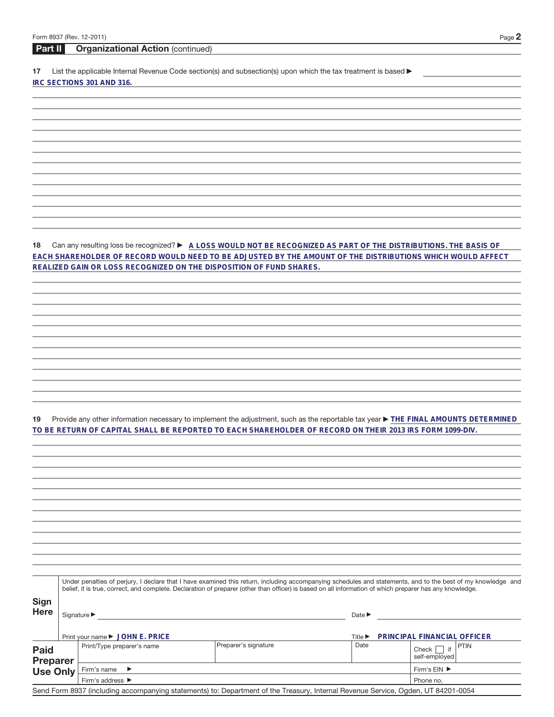## **Part II Organizational Action** (continued)

17 List the applicable Internal Revenue Code section(s) and subsection(s) upon which the tax treatment is based  $\blacktriangleright$ **IRC SECTIONS 301 AND 316.**

**18** Can any resulting loss be recognized? ▶ A LOSS WOULD NOT BE RECOGNIZED AS PART OF THE DISTRIBUTIONS. THE BASIS OF **EACH SHAREHOLDER OF RECORD WOULD NEED TO BE ADJUSTED BY THE AMOUNT OF THE DISTRIBUTIONS WHICH WOULD AFFECT REALIZED GAIN OR LOSS RECOGNIZED ON THE DISPOSITION OF FUND SHARES.**

19 Provide any other information necessary to implement the adjustment, such as the reportable tax year **FIHE FINAL AMOUNTS DETERMINED TO BE RETURN OF CAPITAL SHALL BE REPORTED TO EACH SHAREHOLDER OF RECORD ON THEIR 2013 IRS FORM 1099-DIV.**

|                                | Under penalties of perjury, I declare that I have examined this return, including accompanying schedules and statements, and to the best of my knowledge and<br>belief, it is true, correct, and complete. Declaration of preparer (other than officer) is based on all information of which preparer has any knowledge. |                                 |                                                                                                                                   |                                                                                                 |                                       |  |  |  |
|--------------------------------|--------------------------------------------------------------------------------------------------------------------------------------------------------------------------------------------------------------------------------------------------------------------------------------------------------------------------|---------------------------------|-----------------------------------------------------------------------------------------------------------------------------------|-------------------------------------------------------------------------------------------------|---------------------------------------|--|--|--|
| <b>Sign</b><br><b>Here</b>     |                                                                                                                                                                                                                                                                                                                          | Signature $\blacktriangleright$ |                                                                                                                                   | Date $\blacktriangleright$<br><b>PRINCIPAL FINANCIAL OFFICER</b><br>Title $\blacktriangleright$ |                                       |  |  |  |
|                                |                                                                                                                                                                                                                                                                                                                          | Print your name ▶ JOHN E. PRICE |                                                                                                                                   |                                                                                                 |                                       |  |  |  |
| <b>Paid</b><br><b>Preparer</b> |                                                                                                                                                                                                                                                                                                                          | Print/Type preparer's name      | Preparer's signature                                                                                                              | Date                                                                                            | <b>PTIN</b><br>Check<br>self-employed |  |  |  |
| <b>Use Only</b>                | Firm's name $\blacktriangleright$<br>Firm's address $\blacktriangleright$                                                                                                                                                                                                                                                |                                 |                                                                                                                                   | Firm's $EIN$ $\blacktriangleright$                                                              |                                       |  |  |  |
|                                |                                                                                                                                                                                                                                                                                                                          |                                 |                                                                                                                                   | Phone no.                                                                                       |                                       |  |  |  |
|                                |                                                                                                                                                                                                                                                                                                                          |                                 | Send Form 8937 (including accompanying statements) to: Department of the Treasury, Internal Revenue Service, Ogden, UT 84201-0054 |                                                                                                 |                                       |  |  |  |